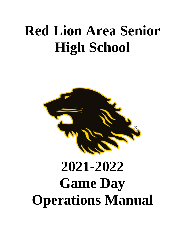# **Red Lion Area Senior High School**



# **2021-2022 Game Day Operations Manual**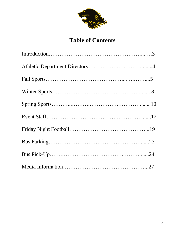

# **Table of Contents**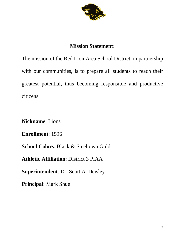

### **Mission Statement:**

The mission of the Red Lion Area School District, in partnership with our communities, is to prepare all students to reach their greatest potential, thus becoming responsible and productive citizens.

**Nickname**: Lions

**Enrollment**: 1596

**School Colors**: Black & Steeltown Gold

**Athletic Affiliation**: District 3 PIAA

**Superintendent**: Dr. Scott A. Deisley

**Principal**: Mark Shue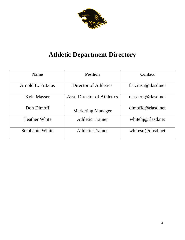

# **Athletic Department Directory**

| <b>Name</b>            | <b>Position</b>             | <b>Contact</b>      |
|------------------------|-----------------------------|---------------------|
| Arnold L. Fritzius     | Director of Athletics       | fritziusa@rlasd.net |
| <b>Kyle Masser</b>     | Asst. Director of Athletics | masserk@rlasd.net   |
| Don Dimoff             | <b>Marketing Manager</b>    | dimoffd@rlasd.net   |
| <b>Heather White</b>   | <b>Athletic Trainer</b>     | whitehj@rlasd.net   |
| <b>Stephanie White</b> | <b>Athletic Trainer</b>     | whitesn@rlasd.net   |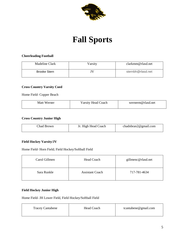

# **Fall Sports**

#### **Cheerleading Football**

| Madeline Clark      | Varsity | clarkmm@rlasd.net |
|---------------------|---------|-------------------|
| <b>Brooke Stern</b> |         | sternbh@rlasd.net |

#### **Cross Country Varsity Coed**

Home Field- Copper Beach

| Matt<br>/erner | Varsity Head Coach | wernerm@rlasd.net |
|----------------|--------------------|-------------------|
|                |                    |                   |

#### **Cross Country Junior High**

| Chad Brown | Jr. High Head Coach | chadnbran2@gmail.com |
|------------|---------------------|----------------------|
|------------|---------------------|----------------------|

#### **Field Hockey Varsity/JV**

Home Field- Horn Field; Field Hockey/Softball Field

| Carol Gillmen | Head Coach             | gillmenc@rlasd.net |
|---------------|------------------------|--------------------|
| Sara Runkle   | <b>Assistant Coach</b> | 717-781-4634       |

#### **Field Hockey Junior High**

Home Field- JH Lower Field, Field Hockey/Softball Field

| <b>Tracey Cantabene</b> | Head Coach | tcantabene@gmail.com |
|-------------------------|------------|----------------------|
|                         |            |                      |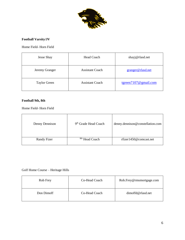

#### **Football Varsity/JV**

Home Field- Horn Field

| <b>Jesse Shay</b>   | Head Coach             | shayj@rlasd.net          |
|---------------------|------------------------|--------------------------|
| Jeremy Granger      | <b>Assistant Coach</b> | granger@rlasd.net        |
| <b>Taylor Green</b> | <b>Assistant Coach</b> | tgreen $7107$ @gmail.com |

#### **Football 9th, 8th**

Home Field- Horn Field

| Denny Dennison | 9 <sup>th</sup> Grade Head Coach | denny.dennison@constellation.com |
|----------------|----------------------------------|----------------------------------|
| Randy Fizer    | <sup>8th</sup> Head Coach        | rfizer1450@comcast.net           |

Golf Home Course – Heritage Hills

| Rob Frey   | Co-Head Coach | Rob.Frey@rmsmortgage.com |
|------------|---------------|--------------------------|
| Don Dimoff | Co-Head Coach | $dimoffd@r$ lasd.net     |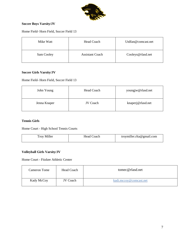

#### **Soccer Boys Varsity/JV**

Home Field- Horn Field, Soccer Field 13

| Mike Watt  | Head Coach             | Utdfan@comcast.net |
|------------|------------------------|--------------------|
| Sam Cooley | <b>Assistant Coach</b> | Cooleys@rlasd.net  |

#### **Soccer Girls Varsity/JV**

Home Field- Horn Field, Soccer Field 13

| John Young   | Head Coach | youngjw@rlasd.net |
|--------------|------------|-------------------|
| Jenna Knaper | JV Coach   | knaperj@rlasd.net |

#### **Tennis Girls**

Home Court - High School Tennis Courts

| Miller<br>$\sim$<br>$1$ roy | : Head<br>`oach | troymiller.rlta@gmail.com |
|-----------------------------|-----------------|---------------------------|
|-----------------------------|-----------------|---------------------------|

#### **Volleyball Girls Varsity/JV**

Home Court - Fitzkee Athletic Center

| Cameron Tome | Head Coach      | tomec@rlasd.net        |
|--------------|-----------------|------------------------|
| Kady McCoy   | <b>JV</b> Coach | kadi.mccoy@comcast.net |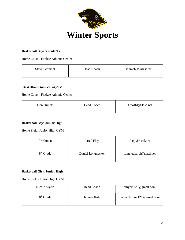

#### **Basketball Boys Varsity/JV**

Home Court - Fitzkee Athletic Center

| schmehls@rlasd.net<br>Steve Schmehl<br>Head Coach |  |
|---------------------------------------------------|--|
|---------------------------------------------------|--|

#### **Basketball Girls Varsity/JV**

Home Court - Fitzkee Athletic Center

| Don Dimoff | <b>Head Coach</b> | Dimoffd@rlasd.net |
|------------|-------------------|-------------------|
|------------|-------------------|-------------------|

#### **Basketball Boys Junior High**

Home Field- Junior High GYM

| Freshmen              | Jared Flay        | flayj@rlasd.net        |
|-----------------------|-------------------|------------------------|
| 8 <sup>th</sup> Grade | Daniel Longnecker | longneckerdl@rlasd.net |

#### **Basketball Girls Junior High**

Home Field- Junior High GYM

| Nicole Myers          | Head Coach  | nmyers128@gmail.com          |
|-----------------------|-------------|------------------------------|
| 8 <sup>th</sup> Grade | Hannah Kuhn | hannahkuhn $2121@$ gmail.com |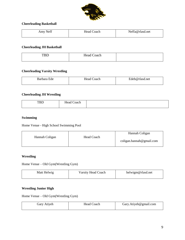

#### **Cheerleading Basketball**

| $\alpha$<br>Nett<br>$\mathbf{m}$<br>$\sim$ | oach<br>неас<br>_______<br>. | net |
|--------------------------------------------|------------------------------|-----|
|                                            |                              |     |

#### **Cheerleading JH Basketball**

| <b>TBD</b> | Head<br>Coach |  |
|------------|---------------|--|
|            |               |  |

#### **Cheerleading Varsity Wrestling**

| Barbara<br>Ede | Head Coach | Edeb@rlasd.net |
|----------------|------------|----------------|
|                |            |                |

#### **Cheerleading JH Wrestling**

| mr<br>עט ג | . н.<br>વખા<br> |  |
|------------|-----------------|--|
|            |                 |  |

#### **Swimming**

Home Venue - High School Swimming Pool

|                |            | Hannah Coligan           |
|----------------|------------|--------------------------|
| Hannah Coligan | Head Coach | coligan.hannah@gmail.com |
|                |            |                          |

#### **Wrestling**

Home Venue – Old Gym(Wrestling Gym)

| Matt Helwig | <b>Varsity Head Coach</b> | helwigm@rlasd.net |
|-------------|---------------------------|-------------------|
|             |                           |                   |

#### **Wrestling Junior High**

Home Venue – Old Gym(Wrestling Gym)

| Gary Atiyeh | Head Coach | Gary.Atiyeh@gmail.com |
|-------------|------------|-----------------------|
|             |            |                       |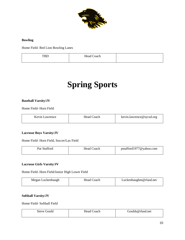

#### **Bowling**

Home Field- Red Lion Bowling Lanes

| -<br>. | -<br>Head C<br>`oach |  |
|--------|----------------------|--|
|        |                      |  |

# **Spring Sports**

#### **Baseball Varsity/JV**

Home Field- Horn Field

| Kevin Lawrence | Head Coach | kevin.lawrence@sycsd.org |
|----------------|------------|--------------------------|
|                |            |                          |

#### **Lacrosse Boys Varsity/JV**

Home Field- Horn Field, Soccer/Lax Field

| Pat Stafford | Head Co<br>Coach | pstafford1977@yahoo.com |
|--------------|------------------|-------------------------|
|              |                  |                         |

#### **Lacrosse Girls Varsity/JV**

Home Field- Horn Field/Junior High Lower Field

#### **Softball Varsity/JV**

Home Field- Softball Field

| jould<br>steve | Jead<br>`oach<br>. | Goulds@rlasd.net |
|----------------|--------------------|------------------|
|                |                    |                  |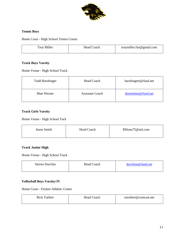

#### **Tennis Boys**

Home Court - High School Tennis Courts

| <b>Troy Miller</b> | Head Coach | troymiller.rlta@gmail.com |
|--------------------|------------|---------------------------|
|                    |            |                           |

#### **Track Boys Varsity**

Home Venue - High School Track

| <b>Todd Barshinger</b> | Head Coach             | barshingert@rlasd.net |
|------------------------|------------------------|-----------------------|
| Matt Werner            | <b>Assistant Coach</b> | dennishms@rlasd.net   |

#### **Track Girls Varsity**

#### Home Venue - High School Tack

| Jason Smith | <b>Head Coach</b> | Rllions75@aol.com |
|-------------|-------------------|-------------------|
|             |                   |                   |

#### **Track Junior High**

Home Venue - High School Track

| Steven Durchin | <b>Head Coach</b> | durchins@rlasd.net |
|----------------|-------------------|--------------------|
|                |                   |                    |

#### **Volleyball Boys Varsity/JV**

Home Court - Fitzkee Athletic Center

| Rick'<br><b>Corbert</b> | Head<br>`oach | ratorbert@comcast.net |
|-------------------------|---------------|-----------------------|
|                         |               |                       |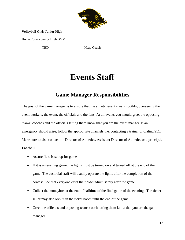

#### **Volleyball Girls Junior High**

Home Court - Junior High GYM

Head Coach

# **Events Staff**

### **Game Manager Responsibilities**

The goal of the game manager is to ensure that the athletic event runs smoothly, overseeing the event workers, the event, the officials and the fans. At all events you should greet the opposing teams' coaches and the officials letting them know that you are the event manger. If an emergency should arise, follow the appropriate channels, i.e. contacting a trainer or dialing 911. Make sure to also contact the Director of Athletics, Assistant Director of Athletics or a principal.

#### **Football**

- Assure field is set up for game
- If it is an evening game, the lights must be turned on and turned off at the end of the game. The custodial staff will usually operate the lights after the completion of the contest. See that everyone exits the field/stadium safely after the game.
- Collect the moneybox at the end of halftime of the final game of the evening. The ticket seller may also lock it in the ticket booth until the end of the game.
- Greet the officials and opposing teams coach letting them know that you are the game manager.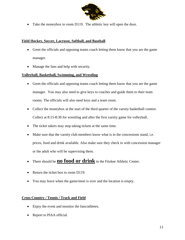

• Take the moneybox to room D119. The athletic key will open the door.

#### **Field Hockey, Soccer, Lacrosse, Softball, and Baseball**

- Greet the officials and opposing teams coach letting them know that you are the game manager.
- Manage the fans and help with security.

#### **Volleyball, Basketball, Swimming, and Wrestling**

- Greet the officials and opposing teams coach letting them know that you are the game manager. You may also need to give keys to coaches and guide them to their team rooms. The officials will also need keys and a team room.
- Collect the moneybox at the start of the third quarter of the varsity basketball contest. Collect at 8:15-8:30 for wrestling and after the first varsity game for volleyball.
- The ticket takers may stop taking tickets at the same time.
- Make sure that the varsity club members know what is in the concessions stand, i.e. prices, food and drink available. Also make sure they check in with concession manager or the adult who will be supervising them.
- There should be **no food or drink** in the Fitzkee Athletic Center.
- Return the ticket box to room D119.
- You may leave when the game/meet is over and the location is empty.

#### **Cross Country / Tennis / Track and Field**

- Enjoy the event and monitor the fans/athletes.
- Report to PIAA official.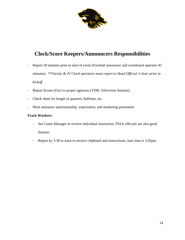

## **Clock/Score Keepers/Announcers Responsibilities**

- Report 20 minutes prior to start of event (Football announcer and scoreboard operator 45 minutes). \*\**Varsity & JV Clock operators must report to Head Official ½ hour prior to kickoff*
- Report Scores (Fax) to proper agencies (YDR, Television Stations)
- Check sheet for length of quarters, halftime, etc.
- Must announce sportsmanship, expectation, and marketing promotion.

#### **Track Workers:**

- See Game Manager to receive individual instruction. PIAA officials are also good liaisons.
- Report by 3:30 to track to receive clipboard and instructions, start time is 3:45pm.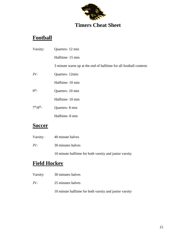

# **Football**

| Varsity:                                                | Quarters-12 min                                                   |
|---------------------------------------------------------|-------------------------------------------------------------------|
|                                                         | Halftime-15 min                                                   |
|                                                         | 3 minute warm up at the end of halftime for all football contests |
| JV:                                                     | Quarters-12min                                                    |
|                                                         | Halftime-10 min                                                   |
| 9 <sup>th</sup> :                                       | Quarters-10 min                                                   |
|                                                         | Halftime-10 min                                                   |
| $7th/8th$ :                                             | Quarters-8 min                                                    |
|                                                         | Halftime-8 min                                                    |
| $\mathbf{C}_{\mathbf{A}\mathbf{A}\mathbf{A}\mathbf{B}}$ |                                                                   |

### **Soccer**

| Varsity: | 40 minute halves |
|----------|------------------|
|          |                  |

JV: 30 minutes halves

10 minute halftime for both varsity and junior varsity

# **Field Hockey**

- Varsity: 30 minutes halves
- JV: 25 minutes halves

10 minute halftime for both varsity and junior varsity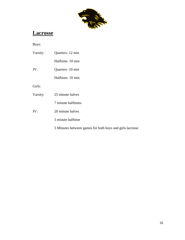

boys and girls lacrosse

# **Lacrosse**

Boys:

| Varsity: | Quarters-12 min                  |  |
|----------|----------------------------------|--|
|          | Halftime-10 min                  |  |
| JV:      | Quarters-10 min                  |  |
|          | Halftime-10 min                  |  |
| Girls:   |                                  |  |
| Varsity: | 25 minute halves                 |  |
|          | 7 minute halftimes               |  |
| JV:      | 20 minute halves                 |  |
|          | 5 minute halftime                |  |
|          | 5 Minutes between games for both |  |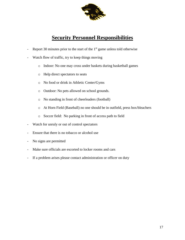

### **Security Personnel Responsibilities**

- Report 30 minutes prior to the start of the  $1<sup>st</sup>$  game unless told otherwise
- Watch flow of traffic, try to keep things moving
	- o Indoor: No one may cross under baskets during basketball games
	- o Help direct spectators to seats
	- o No food or drink in Athletic Center/Gyms
	- o Outdoor: No pets allowed on school grounds.
	- o No standing in front of cheerleaders (football)
	- o At Horn Field (Baseball) no one should be in outfield, press box/bleachers
	- o Soccer field: No parking in front of access path to field
- Watch for unruly or out of control spectators
- Ensure that there is no tobacco or alcohol use
- No signs are permitted
- Make sure officials are escorted to locker rooms and cars
- If a problem arises please contact administration or officer on duty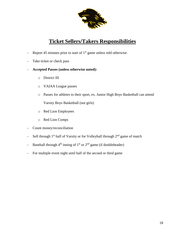

### **Ticket Sellers/Takers Responsibilities**

- Report 45 minutes prior to start of  $1<sup>st</sup>$  game unless told otherwise
- Take ticket or check pass
- **Accepted Passes (unless otherwise noted):** 
	- o District III
	- o YAIAA League passes
	- o Passes for athletes to their sport, ex. Junior High Boys Basketball can attend Varsity Boys Basketball (not girls)
	- o Red Lion Employees
	- o Red Lion Comps
- Count money/reconciliation
- Sell through  $1<sup>st</sup>$  half of Varsity or for Volleyball through  $2<sup>nd</sup>$  game of match
- Baseball through  $4<sup>th</sup>$  inning of  $1<sup>st</sup>$  or  $2<sup>nd</sup>$  game (if doubleheader)
- For multiple event night until half of the second or third game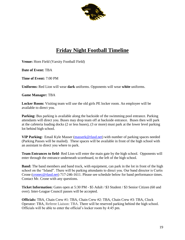

## **Friday Night Football Timeline**

**Venue:** Horn Field (Varsity Football Field)

**Date of Event:** TBA

**Time of Event:** 7:00 PM

**Uniforms:** Red Lion will wear **dark** uniforms. Opponents will wear **white** uniforms.

**Game Manager:** TBA

**Locker Room:** Visiting team will use the old girls PE locker room. An employee will be available to direct you.

**Parking:** Bus parking is available along the backside of the swimming pool entrance. Parking attendants will direct you. Buses may drop team off at backside entrance. Buses then will park at the cafeteria loading docks (2 or less buses), (3 or more) must park at the lower level parking lot behind high school.

**VIP Parking:** Email Kyle Masser [\(masserk@rlasd.net\)](mailto:masserk@rlasd.net) with number of parking spaces needed (Parking Passes will be mailed). These spaces will be available in front of the high school with an assistant to direct you where to park.

**Team Entrances to field**- Red Lion will enter the main gate by the high school. Opponents will enter through the entrance underneath scoreboard, to the left of the high school.

**Band:** The band members and band truck, with equipment, can park in the lot in front of the high school on the "Island". There will be parking attendants to direct you. Our band director is Curtis Crone [\(cronec@rlasd.net\)](mailto:cronec@rlasd.net) 717-246-1611. Please see schedule below for band performance times. Contact Mr. Crone with any questions.

**Ticket Information:** Gates open at 5:30 PM - \$5 Adult / \$3 Student / \$3 Senior Citizen (60 and over). Inter-League Council passes will be accepted.

**Officials:** TBA, Chain Crew #1: TBA, Chain Crew #2: TBA, Chain Crew #3: TBA, Clock Operator: TBA, Referee Liaison: TBA. There will be reserved parking behind the high school. Officials will be able to enter the official's locker room by 4:45 pm.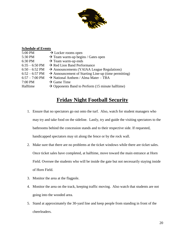

#### **Schedule of Events**

| 5:00 PM                  | $\rightarrow$ Locker rooms open                                  |
|--------------------------|------------------------------------------------------------------|
| 5:30 PM                  | $\rightarrow$ Team warm-up begins / Gates open                   |
| 6:30 PM                  | $\rightarrow$ Team warm-up ends                                  |
| $6:35 - 6:50$ PM         | $\rightarrow$ Red Lion Band Performance                          |
| $6:50 - 6:52$ PM         | $\rightarrow$ Announcements (YAIAA League Regulations)           |
| $6:52 - 6:57$ PM         | $\rightarrow$ Announcement of Starting Line-up (time permitting) |
| $6:57 - 7:00 \text{ PM}$ | $\rightarrow$ National Anthem / Alma Mater – TBA                 |
| 7:00 PM                  | $\rightarrow$ Game Time                                          |
| Halftime                 | $\rightarrow$ Opponents Band to Perform (15 minute halftime)     |
|                          |                                                                  |

### **Friday Night Football Security**

- 1. Ensure that no spectators go out onto the turf. Also, watch for student managers who may try and take food on the sideline. Lastly, try and guide the visiting spectators to the bathrooms behind the concession stands and to their respective side. If requested, handicapped spectators may sit along the fence or by the rock wall.
- 2. Make sure that there are no problems at the ticket windows while there are ticket sales. Once ticket sales have completed, at halftime, move toward the main entrance at Horn Field. Oversee the students who will be inside the gate but not necessarily staying inside of Horn Field.
- 3. Monitor the area at the flagpole.
- 4. Monitor the area on the track, keeping traffic moving. Also watch that students are not going into the wooded area.
- 5. Stand at approximately the 30-yard line and keep people from standing in front of the cheerleaders.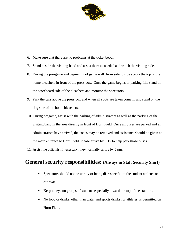

- 6. Make sure that there are no problems at the ticket booth.
- 7. Stand beside the visiting band and assist them as needed and watch the visiting side.
- 8. During the pre-game and beginning of game walk from side to side across the top of the home bleachers in front of the press box. Once the game begins or parking fills stand on the scoreboard side of the bleachers and monitor the spectators.
- 9. Park the cars above the press box and when all spots are taken come in and stand on the flag side of the home bleachers.
- 10. During pregame, assist with the parking of administrators as well as the parking of the visiting band in the area directly in front of Horn Field. Once all buses are parked and all administrators have arrived, the cones may be removed and assistance should be given at the main entrance to Horn Field. Please arrive by 5:15 to help park those buses.
- 11. Assist the officials if necessary, they normally arrive by 5 pm.

### **General security responsibilities: (Always in Staff Security Shirt)**

- Spectators should not be unruly or being disrespectful to the student athletes or officials.
- Keep an eye on groups of students especially toward the top of the stadium.
- No food or drinks, other than water and sports drinks for athletes, is permitted on Horn Field.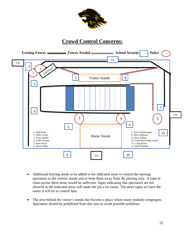

### **Crowd Control Concerns:**



- Additional fencing needs to be added in the indicated areas to control the moving spectators to the visitors stands and to keep them away from the playing area. A rope or chain across these areas would be sufficient. Signs indicating that spectators are not allowed in the indicated areas will make the job a lot easier. The more signs we have the easier it will be to control fans.
- The area behind the visitor's stands has become a place where many students congregate. Spectators should be prohibited from this area to avoid possible problems.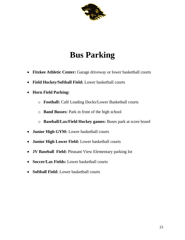

# **Bus Parking**

- **Fitzkee Athletic Center:** Garage driveway or lower basketball courts
- **Field Hockey/Softball Field:** Lower basketball courts
- **Horn Field Parking:** 
	- o **Football:** Café Loading Docks/Lower Basketball courts
	- o **Band Busses:** Park in front of the high school
	- o **Baseball/Lax/Field Hockey games:** Buses park at score board
- **Junior High GYM:** Lower basketball courts
- **Junior High Lower Field:** Lower basketball courts
- **JV Baseball Field:** Pleasant View Elementary parking lot
- **Soccer/Lax Fields:** Lower basketball courts
- **Softball Field:** Lower basketball courts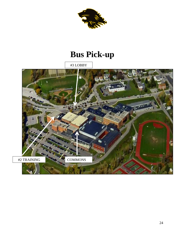

# **Bus Pick-up**

#3 LOBBY

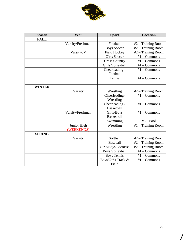

| <b>Season</b> | Year             | <b>Sport</b>           | <b>Location</b>       |
|---------------|------------------|------------------------|-----------------------|
| <b>FALL</b>   |                  |                        |                       |
|               | Varsity/Freshmen | Football               | $#2$ – Training Room  |
|               |                  | <b>Boys Soccer</b>     | #2 – Training Room    |
|               | Varsity/JV       | <b>Field Hockey</b>    | #2 – Training Room    |
|               |                  | <b>Girls Soccer</b>    | $#1 - Commons$        |
|               |                  | <b>Cross Country</b>   | $#1 - Commons$        |
|               |                  | Girls Volleyball       | $#1 - Commons$        |
|               |                  | Cheerleading -         | $#1 - \nCommons$      |
|               |                  | Football               |                       |
|               |                  | Tennis                 | $#1 - \text{Commons}$ |
|               |                  |                        |                       |
| <b>WINTER</b> |                  |                        |                       |
|               | Varsity          | Wrestling              | #2 – Training Room    |
|               |                  | Cheerleading-          | $#1 - Commons$        |
|               |                  | Wrestling              |                       |
|               |                  | Cheerleading -         | $#1 - \nCommons$      |
|               |                  | <b>Basketball</b>      |                       |
|               | Varsity/Freshmen | Girls/Boys             | $#1 - Commons$        |
|               |                  | <b>Basketball</b>      |                       |
|               |                  | Swimming               | $#3 - Pool$           |
|               | Junior High      | Wrestling              | #1 - Training Room    |
|               | (WEEKENDS)       |                        |                       |
| <b>SPRING</b> |                  |                        |                       |
|               | Varsity          | Softball               | $#2$ – Training Room  |
|               |                  | <b>Baseball</b>        | #2 - Training Room    |
|               |                  | Girls/Boys Lacrosse    | #2 - Training Room    |
|               |                  | <b>Boys Volleyball</b> | $#1 - Commons$        |
|               |                  | <b>Boys Tennis</b>     | $#1 - Commons$        |
|               |                  | Boys/Girls Track &     | $#1 - \text{Commons}$ |
|               |                  | Field                  |                       |

 $\overline{\phantom{a}}$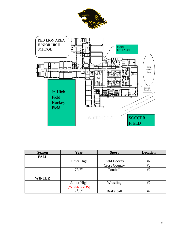



| <b>Season</b> | Year                             | <b>Sport</b>         | <b>Location</b> |
|---------------|----------------------------------|----------------------|-----------------|
| <b>FALL</b>   |                                  |                      |                 |
|               | Junior High                      | <b>Field Hockey</b>  | #2              |
|               |                                  | <b>Cross Country</b> | #2              |
|               | 7 <sup>th</sup> /8 <sup>th</sup> | Football             | #2              |
|               |                                  |                      |                 |
| <b>WINTER</b> |                                  |                      |                 |
|               | Junior High                      | Wrestling            | #2              |
|               | (WEEKENDS)                       |                      |                 |
|               | 7 <sup>th</sup> /8 <sup>th</sup> | Basketball           | #2              |